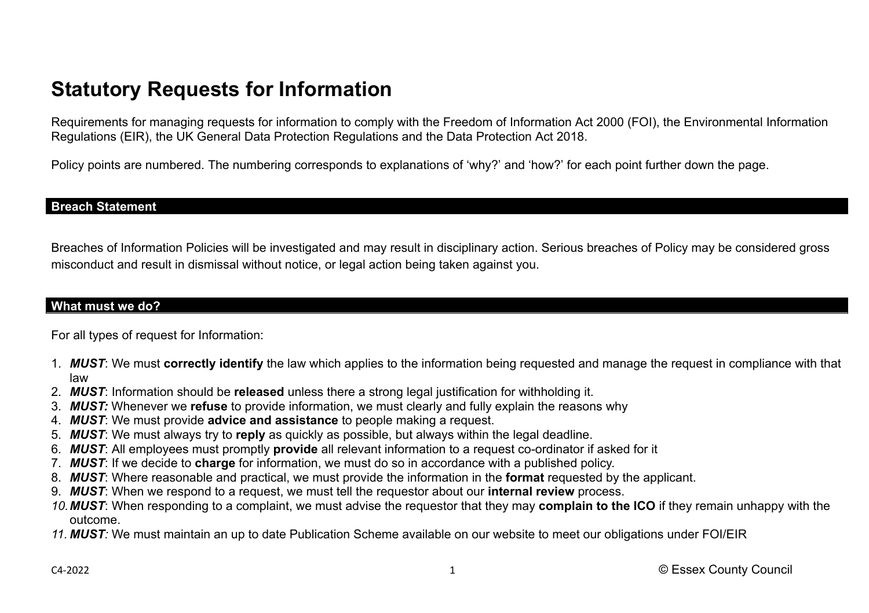# **Statutory Requests for Information**

Requirements for managing requests for information to comply with the Freedom of Information Act 2000 (FOI), the Environmental Information Regulations (EIR), the UK General Data Protection Regulations and the Data Protection Act 2018.

Policy points are numbered. The numbering corresponds to explanations of 'why?' and 'how?' for each point further down the page.

#### **Breach Statement**

Breaches of Information Policies will be investigated and may result in disciplinary action. Serious breaches of Policy may be considered gross misconduct and result in dismissal without notice, or legal action being taken against you.

### **What must we do?**

For all types of request for Information:

- 1. *MUST*: We must **correctly identify** the law which applies to the information being requested and manage the request in compliance with that law
- 2. *MUST*: Information should be **released** unless there a strong legal justification for withholding it.
- 3. *MUST:* Whenever we **refuse** to provide information, we must clearly and fully explain the reasons why
- 4. *MUST*: We must provide **advice and assistance** to people making a request.
- 5. *MUST*: We must always try to **reply** as quickly as possible, but always within the legal deadline.
- 6. *MUST*: All employees must promptly **provide** all relevant information to a request co-ordinator if asked for it
- 7. *MUST*: If we decide to **charge** for information, we must do so in accordance with a published policy.
- 8. *MUST*: Where reasonable and practical, we must provide the information in the **format** requested by the applicant.
- 9. *MUST*: When we respond to a request, we must tell the requestor about our **internal review** process.
- *10.MUST*: When responding to a complaint, we must advise the requestor that they may **complain to the ICO** if they remain unhappy with the outcome.
- *11. MUST:* We must maintain an up to date Publication Scheme available on our website to meet our obligations under FOI/EIR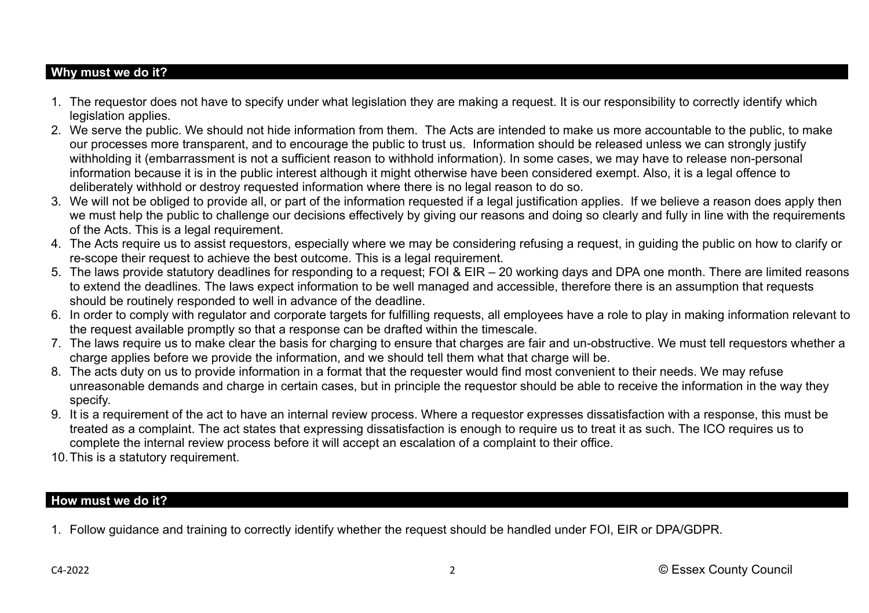## **Why must we do it?**

- 1. The requestor does not have to specify under what legislation they are making a request. It is our responsibility to correctly identify which legislation applies.
- 2. We serve the public. We should not hide information from them. The Acts are intended to make us more accountable to the public, to make our processes more transparent, and to encourage the public to trust us. Information should be released unless we can strongly justify withholding it (embarrassment is not a sufficient reason to withhold information). In some cases, we may have to release non-personal information because it is in the public interest although it might otherwise have been considered exempt. Also, it is a legal offence to deliberately withhold or destroy requested information where there is no legal reason to do so.
- 3. We will not be obliged to provide all, or part of the information requested if a legal justification applies. If we believe a reason does apply then we must help the public to challenge our decisions effectively by giving our reasons and doing so clearly and fully in line with the requirements of the Acts. This is a legal requirement.
- 4. The Acts require us to assist requestors, especially where we may be considering refusing a request, in guiding the public on how to clarify or re-scope their request to achieve the best outcome. This is a legal requirement.
- 5. The laws provide statutory deadlines for responding to a request; FOI & EIR 20 working days and DPA one month. There are limited reasons to extend the deadlines. The laws expect information to be well managed and accessible, therefore there is an assumption that requests should be routinely responded to well in advance of the deadline.
- 6. In order to comply with regulator and corporate targets for fulfilling requests, all employees have a role to play in making information relevant to the request available promptly so that a response can be drafted within the timescale.
- 7. The laws require us to make clear the basis for charging to ensure that charges are fair and un-obstructive. We must tell requestors whether a charge applies before we provide the information, and we should tell them what that charge will be.
- 8. The acts duty on us to provide information in a format that the requester would find most convenient to their needs. We may refuse unreasonable demands and charge in certain cases, but in principle the requestor should be able to receive the information in the way they specify.
- 9. It is a requirement of the act to have an internal review process. Where a requestor expresses dissatisfaction with a response, this must be treated as a complaint. The act states that expressing dissatisfaction is enough to require us to treat it as such. The ICO requires us to complete the internal review process before it will accept an escalation of a complaint to their office.
- 10.This is a statutory requirement.

### **How must we do it?**

1. Follow guidance and training to correctly identify whether the request should be handled under FOI, EIR or DPA/GDPR.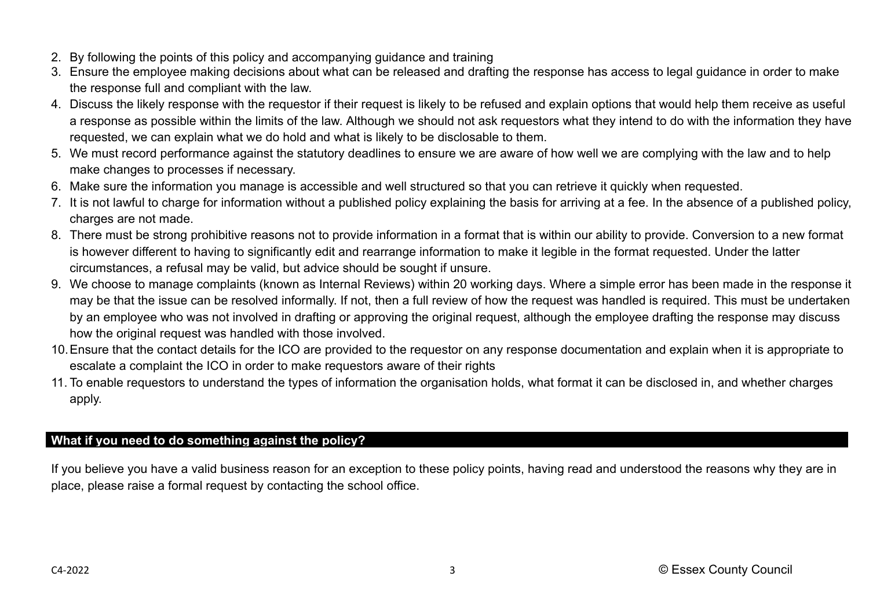- 2. By following the points of this policy and accompanying guidance and training
- 3. Ensure the employee making decisions about what can be released and drafting the response has access to legal guidance in order to make the response full and compliant with the law.
- 4. Discuss the likely response with the requestor if their request is likely to be refused and explain options that would help them receive as useful a response as possible within the limits of the law. Although we should not ask requestors what they intend to do with the information they have requested, we can explain what we do hold and what is likely to be disclosable to them.
- 5. We must record performance against the statutory deadlines to ensure we are aware of how well we are complying with the law and to help make changes to processes if necessary.
- 6. Make sure the information you manage is accessible and well structured so that you can retrieve it quickly when requested.
- 7. It is not lawful to charge for information without a published policy explaining the basis for arriving at a fee. In the absence of a published policy, charges are not made.
- 8. There must be strong prohibitive reasons not to provide information in a format that is within our ability to provide. Conversion to a new format is however different to having to significantly edit and rearrange information to make it legible in the format requested. Under the latter circumstances, a refusal may be valid, but advice should be sought if unsure.
- 9. We choose to manage complaints (known as Internal Reviews) within 20 working days. Where a simple error has been made in the response it may be that the issue can be resolved informally. If not, then a full review of how the request was handled is required. This must be undertaken by an employee who was not involved in drafting or approving the original request, although the employee drafting the response may discuss how the original request was handled with those involved.
- 10.Ensure that the contact details for the ICO are provided to the requestor on any response documentation and explain when it is appropriate to escalate a complaint the ICO in order to make requestors aware of their rights
- 11. To enable requestors to understand the types of information the organisation holds, what format it can be disclosed in, and whether charges apply.

## **What if you need to do something against the policy?**

If you believe you have a valid business reason for an exception to these policy points, having read and understood the reasons why they are in place, please raise a formal request by contacting the school office.